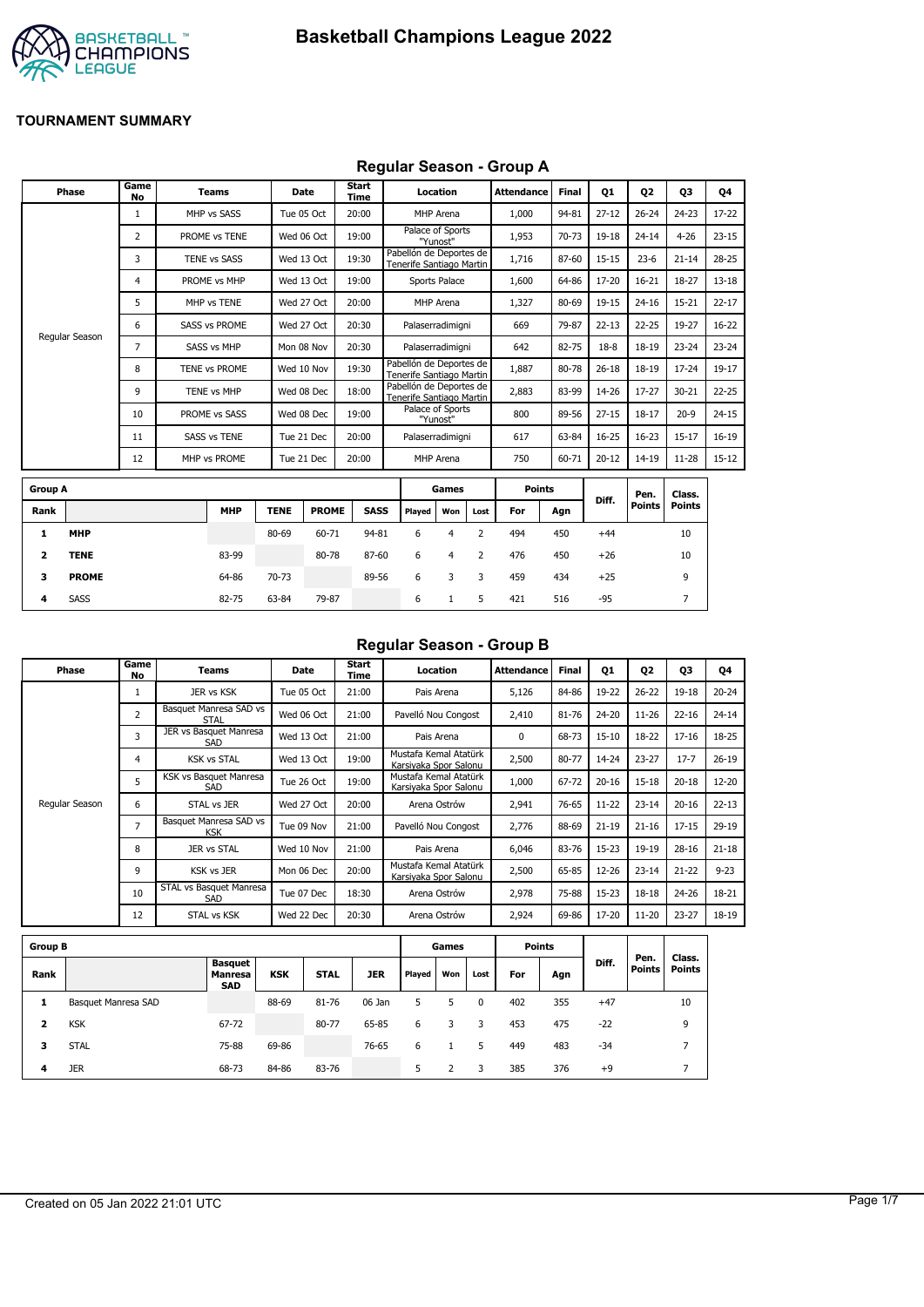

### **Regular Season - Group A**

| Phase          | Game<br>No | <b>Teams</b>         |             | Date         | <b>Start</b><br><b>Time</b> |                                                     | Location                     |      | <b>Attendance</b> | <b>Final</b> | <b>Q1</b> | Q <sub>2</sub> | Q3            | Q4        |
|----------------|------------|----------------------|-------------|--------------|-----------------------------|-----------------------------------------------------|------------------------------|------|-------------------|--------------|-----------|----------------|---------------|-----------|
|                | 1          | MHP vs SASS          |             | Tue 05 Oct   | 20:00                       |                                                     | MHP Arena                    |      | 1,000             | 94-81        | $27 - 12$ | $26 - 24$      | $24 - 23$     | $17 - 22$ |
|                | 2          | PROME vs TENE        |             | Wed 06 Oct   | 19:00                       |                                                     | Palace of Sports<br>"Yunost" |      | 1,953             | 70-73        | 19-18     | $24 - 14$      | $4 - 26$      | $23 - 15$ |
|                | 3          | TENE vs SASS         |             | Wed 13 Oct   | 19:30                       | Pabellón de Deportes de<br>Tenerife Santiago Martin |                              |      | 1,716             | 87-60        | $15 - 15$ | $23 - 6$       | $21 - 14$     | $28 - 25$ |
|                | 4          | PROME vs MHP         |             | Wed 13 Oct   | 19:00                       |                                                     | Sports Palace                |      | 1,600             | 64-86        | 17-20     | $16 - 21$      | 18-27         | $13 - 18$ |
|                | 5          | MHP vs TENE          |             | Wed 27 Oct   | 20:00                       |                                                     | MHP Arena                    |      | 1,327             | 80-69        | 19-15     | $24 - 16$      | $15 - 21$     | $22 - 17$ |
|                | 6          | <b>SASS vs PROME</b> |             | Wed 27 Oct   | 20:30                       | Palaserradimigni                                    |                              |      | 669               | 79-87        | $22 - 13$ | $22 - 25$      | 19-27         | $16 - 22$ |
| Regular Season | 7          | <b>SASS vs MHP</b>   |             | Mon 08 Nov   | 20:30                       | Palaserradimigni                                    |                              |      | 642               | 82-75        | $18-8$    | $18 - 19$      | $23 - 24$     | $23 - 24$ |
|                | 8          | TENE vs PROME        |             | Wed 10 Nov   | 19:30                       | Pabellón de Deportes de<br>Tenerife Santiago Martin |                              |      | 1,887             | 80-78        | $26 - 18$ | 18-19          | $17 - 24$     | 19-17     |
|                | 9          | TENE vs MHP          |             | Wed 08 Dec   | 18:00                       | Pabellón de Deportes de<br>Tenerife Santiago Martin |                              |      | 2,883             | 83-99        | 14-26     | $17 - 27$      | $30 - 21$     | $22 - 25$ |
|                | 10         | PROME vs SASS        |             | Wed 08 Dec   | 19:00                       |                                                     | Palace of Sports<br>"Yunost" |      | 800               | 89-56        | $27 - 15$ | $18 - 17$      | $20-9$        | $24 - 15$ |
|                | 11         | <b>SASS vs TENE</b>  |             | Tue 21 Dec   | 20:00                       | Palaserradimigni                                    |                              |      | 617               | 63-84        | $16 - 25$ | $16 - 23$      | $15 - 17$     | $16 - 19$ |
|                | 12         | MHP vs PROME         |             | Tue 21 Dec   | 20:00                       |                                                     | MHP Arena                    |      | 750               | 60-71        | $20 - 12$ | 14-19          | $11 - 28$     | $15 - 12$ |
| <b>Group A</b> |            |                      |             |              |                             |                                                     | Games                        |      | <b>Points</b>     |              |           | Pen.           | Class.        |           |
| Rank           |            | <b>MHP</b>           | <b>TENE</b> | <b>PROME</b> | <b>SASS</b>                 | Played                                              | Won                          | Lost | For               | Agn          | Diff.     | <b>Points</b>  | <b>Points</b> |           |
|                |            |                      |             |              |                             |                                                     |                              |      |                   |              |           |                |               |           |

|      |              |            |             |              |       |        |     |      |     |     |       | ген.   | ulass. |  |
|------|--------------|------------|-------------|--------------|-------|--------|-----|------|-----|-----|-------|--------|--------|--|
| Rank |              | <b>MHP</b> | <b>TENE</b> | <b>PROME</b> | SASS  | Played | Won | Lost | For | Agn | Diff. | Points | Points |  |
|      | <b>MHP</b>   |            | 80-69       | 60-71        | 94-81 | 6      |     |      | 494 | 450 | $+44$ |        | 10     |  |
|      | <b>TENE</b>  | 83-99      |             | 80-78        | 87-60 | 6      | 4   |      | 476 | 450 | $+26$ |        | 10     |  |
| з    | <b>PROME</b> | 64-86      | 70-73       |              | 89-56 | 6      | 3   | -3   | 459 | 434 | $+25$ |        | 9      |  |
| 4    | <b>SASS</b>  | 82-75      | 63-84       | 79-87        |       | 6      |     |      | 421 | 516 | -95   |        |        |  |

### **Regular Season - Group B**

| Phase          | Game<br>No     | Teams                                | Date       | Start<br>Time | Location                                       | <b>Attendance</b> | <b>Final</b> | <b>Q1</b> | Q <sub>2</sub> | Q3        | Q4        |
|----------------|----------------|--------------------------------------|------------|---------------|------------------------------------------------|-------------------|--------------|-----------|----------------|-----------|-----------|
|                |                | JER vs KSK                           | Tue 05 Oct | 21:00         | Pais Arena                                     | 5,126             | 84-86        | 19-22     | $26 - 22$      | 19-18     | $20 - 24$ |
|                | $\overline{2}$ | Basquet Manresa SAD vs<br>STAL       | Wed 06 Oct | 21:00         | Pavelló Nou Congost                            | 2,410             | 81-76        | 24-20     | $11 - 26$      | $22 - 16$ | $24 - 14$ |
|                | 3              | JER vs Basquet Manresa<br>SAD        | Wed 13 Oct | 21:00         | Pais Arena                                     | 0                 | 68-73        | 15-10     | 18-22          | $17 - 16$ | 18-25     |
|                | 4              | <b>KSK vs STAL</b>                   | Wed 13 Oct | 19:00         | Mustafa Kemal Atatürk<br>Karsiyaka Spor Salonu | 2,500             | 80-77        | 14-24     | $23 - 27$      | $17 - 7$  | $26 - 19$ |
|                | 5              | KSK vs Basquet Manresa<br>SAD        | Tue 26 Oct | 19:00         | Mustafa Kemal Atatürk<br>Karsiyaka Spor Salonu | 1,000             | 67-72        | $20 - 16$ | $15 - 18$      | $20 - 18$ | 12-20     |
| Regular Season | 6              | STAL vs JER                          | Wed 27 Oct | 20:00         | Arena Ostrów                                   | 2,941             | 76-65        | $11 - 22$ | $23 - 14$      | $20 - 16$ | $22 - 13$ |
|                | $\overline{ }$ | Basquet Manresa SAD vs<br><b>KSK</b> | Tue 09 Nov | 21:00         | Pavelló Nou Congost                            | 2,776             | 88-69        | $21 - 19$ | $21 - 16$      | $17 - 15$ | $29-19$   |
|                | 8              | JER vs STAL                          | Wed 10 Nov | 21:00         | Pais Arena                                     | 6,046             | 83-76        | $15 - 23$ | 19-19          | $28 - 16$ | $21 - 18$ |
|                | 9              | <b>KSK vs JER</b>                    | Mon 06 Dec | 20:00         | Mustafa Kemal Atatürk<br>Karsiyaka Spor Salonu | 2,500             | 65-85        | 12-26     | $23 - 14$      | $21 - 22$ | $9 - 23$  |
|                | 10             | STAL vs Basquet Manresa<br>SAD       | Tue 07 Dec | 18:30         | Arena Ostrów                                   | 2,978             | 75-88        | $15 - 23$ | $18 - 18$      | 24-26     | 18-21     |
|                | 12             | <b>STAL vs KSK</b>                   | Wed 22 Dec | 20:30         | Arena Ostrów                                   | 2,924             | 69-86        | 17-20     | $11 - 20$      | $23 - 27$ | 18-19     |

| <b>Group B</b> |                     |                                                |            |             |            |        | Games |          | <b>Points</b> |     |       |                |                  |
|----------------|---------------------|------------------------------------------------|------------|-------------|------------|--------|-------|----------|---------------|-----|-------|----------------|------------------|
| Rank           |                     | <b>Basquet</b><br><b>Manresa</b><br><b>SAD</b> | <b>KSK</b> | <b>STAL</b> | <b>JER</b> | Played | Won   | Lost     | For           | Agn | Diff. | Pen.<br>Points | Class.<br>Points |
| л              | Basquet Manresa SAD |                                                | 88-69      | 81-76       | 06 Jan     | 5.     | 5     | $\Omega$ | 402           | 355 | $+47$ |                | 10               |
| 2              | <b>KSK</b>          | 67-72                                          |            | 80-77       | 65-85      | 6      | 3     | 3        | 453           | 475 | $-22$ |                | 9                |
| з              | <b>STAL</b>         | 75-88                                          | 69-86      |             | 76-65      | 6      |       | 5        | 449           | 483 | $-34$ |                | -                |
| 4              | <b>JER</b>          | 68-73                                          | 84-86      | 83-76       |            | 5      |       | 3        | 385           | 376 | $+9$  |                |                  |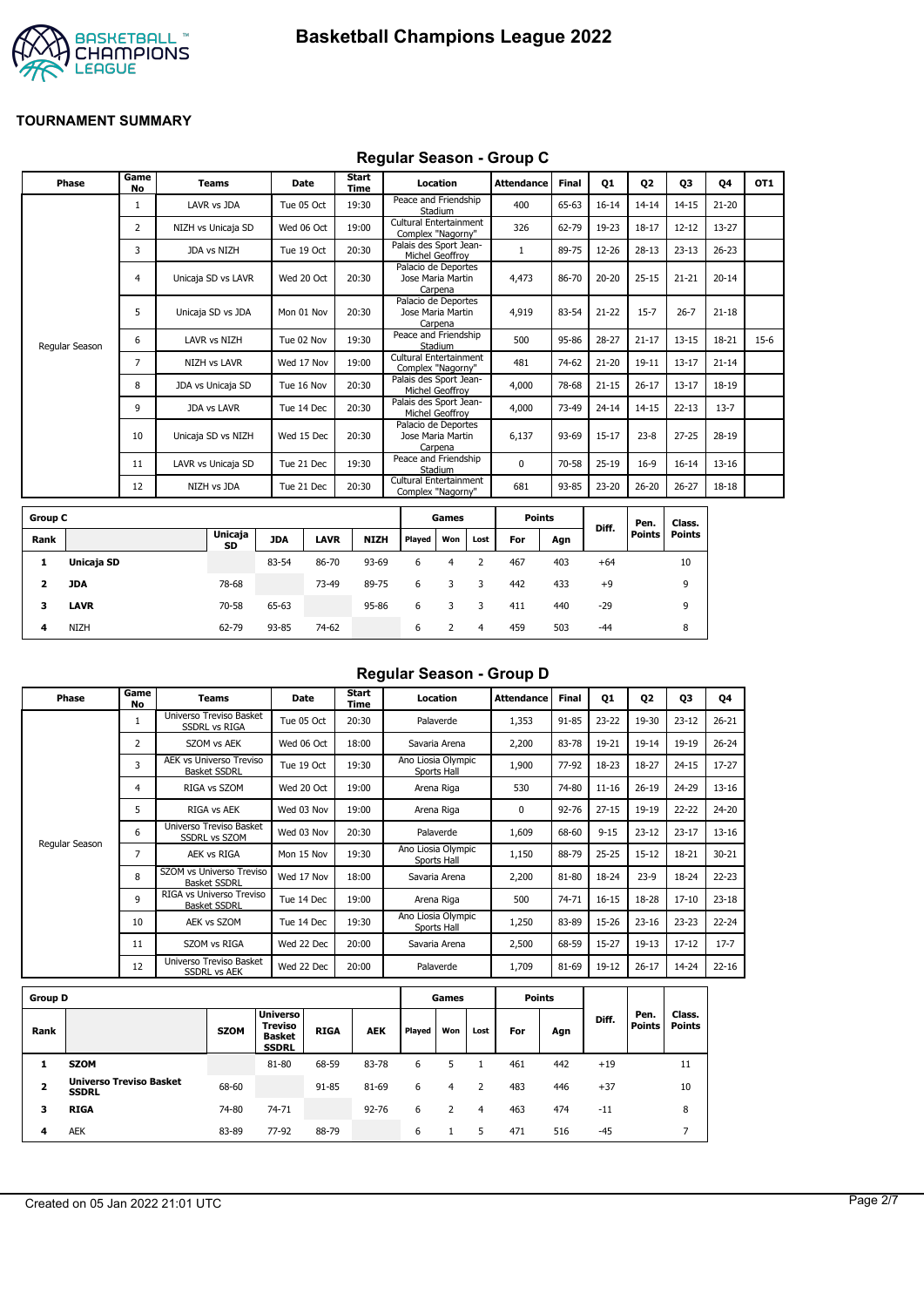



#### **Regular Season - Group C**

| Phase          | Game<br><b>No</b> | <b>Teams</b>        | Date       | Start<br>Time | Location                                            | <b>Attendance</b> | <b>Final</b> | Q1        | Q <sub>2</sub> | Q3        | Q4        | OT <sub>1</sub> |
|----------------|-------------------|---------------------|------------|---------------|-----------------------------------------------------|-------------------|--------------|-----------|----------------|-----------|-----------|-----------------|
|                | 1                 | LAVR vs JDA         | Tue 05 Oct | 19:30         | Peace and Friendship<br>Stadium                     | 400               | 65-63        | $16 - 14$ | $14 - 14$      | $14 - 15$ | $21 - 20$ |                 |
|                | 2                 | NIZH vs Unicaja SD  | Wed 06 Oct | 19:00         | Cultural Entertainment<br>Complex "Nagorny"         | 326               | 62-79        | 19-23     | $18 - 17$      | $12 - 12$ | 13-27     |                 |
|                | 3                 | JDA vs NIZH         | Tue 19 Oct | 20:30         | Palais des Sport Jean-<br>Michel Geoffroy           |                   | 89-75        | 12-26     | $28-13$        | $23 - 13$ | $26 - 23$ |                 |
|                | 4                 | Unicaja SD vs LAVR  | Wed 20 Oct | 20:30         | Palacio de Deportes<br>Jose Maria Martin<br>Carpena | 4,473             | 86-70        | $20 - 20$ | $25 - 15$      | $21 - 21$ | $20 - 14$ |                 |
|                | 5                 | Unicaja SD vs JDA   | Mon 01 Nov | 20:30         | Palacio de Deportes<br>Jose Maria Martin<br>Carpena | 4,919             | 83-54        | $21 - 22$ | $15 - 7$       | $26 - 7$  | $21 - 18$ |                 |
| Regular Season | 6                 | LAVR vs NIZH        | Tue 02 Nov | 19:30         | Peace and Friendship<br>Stadium                     | 500               | 95-86        | $28 - 27$ | $21 - 17$      | $13 - 15$ | 18-21     | $15-6$          |
|                | $\overline{7}$    | <b>NIZH vs LAVR</b> | Wed 17 Nov | 19:00         | Cultural Entertainment<br>Complex "Nagorny"         | 481               | 74-62        | $21 - 20$ | $19 - 11$      | $13 - 17$ | $21 - 14$ |                 |
|                | 8                 | JDA vs Unicaja SD   | Tue 16 Nov | 20:30         | Palais des Sport Jean-<br>Michel Geoffroy           | 4,000             | 78-68        | $21 - 15$ | $26 - 17$      | $13 - 17$ | 18-19     |                 |
|                | 9                 | <b>JDA vs LAVR</b>  | Tue 14 Dec | 20:30         | Palais des Sport Jean-<br>Michel Geoffrov           | 4,000             | 73-49        | $24 - 14$ | $14 - 15$      | $22 - 13$ | $13 - 7$  |                 |
|                | 10                | Unicaja SD vs NIZH  | Wed 15 Dec | 20:30         | Palacio de Deportes<br>Jose Maria Martin<br>Carpena | 6,137             | 93-69        | $15 - 17$ | $23 - 8$       | $27 - 25$ | 28-19     |                 |
|                | 11                | LAVR vs Unicaja SD  | Tue 21 Dec | 19:30         | Peace and Friendship<br>Stadium                     | $\Omega$          | 70-58        | $25-19$   | $16-9$         | $16 - 14$ | $13 - 16$ |                 |
|                | 12                | NIZH vs JDA         | Tue 21 Dec | 20:30         | Cultural Entertainment<br>Complex "Nagorny"         | 681               | 93-85        | 23-20     | $26 - 20$      | $26 - 27$ | 18-18     |                 |
|                |                   |                     |            |               |                                                     |                   |              |           |                |           |           |                 |

| <b>Group C</b> |             |                      |            |             |             |        | Games |      | <b>Points</b> |     |       | Pen.   | Class. |
|----------------|-------------|----------------------|------------|-------------|-------------|--------|-------|------|---------------|-----|-------|--------|--------|
| Rank           |             | <b>Unicaja</b><br>SD | <b>JDA</b> | <b>LAVR</b> | <b>NIZH</b> | Played | Won   | Lost | For           | Agn | Diff. | Points | Points |
| л.             | Unicaja SD  |                      | 83-54      | 86-70       | 93-69       | 6      | 4     |      | 467           | 403 | $+64$ |        | 10     |
| 2              | JDA         | 78-68                |            | 73-49       | 89-75       | 6      | 3     | 3    | 442           | 433 | $+9$  |        | 9      |
| 3              | <b>LAVR</b> | 70-58                | 65-63      |             | 95-86       | 6      |       |      | 411           | 440 | $-29$ |        | 9      |
| 4              | <b>NIZH</b> | 62-79                | 93-85      | 74-62       |             | 6      |       | 4    | 459           | 503 | $-44$ |        | 8      |

## **Regular Season - Group D**

| Phase          | Game<br>No     | Teams                                                 | <b>Date</b> | Start<br>Time | Location                          | <b>Attendance</b> | Final     | Q1        | 02        | 03        | Q4        |
|----------------|----------------|-------------------------------------------------------|-------------|---------------|-----------------------------------|-------------------|-----------|-----------|-----------|-----------|-----------|
|                | 1              | Universo Treviso Basket<br><b>SSDRL vs RIGA</b>       | Tue 05 Oct  | 20:30         | Palaverde                         | 1,353             | 91-85     | $23 - 22$ | 19-30     | $23 - 12$ | $26 - 21$ |
|                | $\overline{2}$ | SZOM vs AEK                                           | Wed 06 Oct  | 18:00         | Savaria Arena                     | 2,200             | 83-78     | 19-21     | $19 - 14$ | 19-19     | $26 - 24$ |
|                | 3              | <b>AEK vs Universo Treviso</b><br><b>Basket SSDRL</b> | Tue 19 Oct  | 19:30         | Ano Liosia Olympic<br>Sports Hall | 1,900             | 77-92     | 18-23     | 18-27     | $24 - 15$ | $17 - 27$ |
|                | 4              | RIGA vs SZOM                                          | Wed 20 Oct  | 19:00         | Arena Riga                        | 530               | 74-80     | $11 - 16$ | $26 - 19$ | 24-29     | $13 - 16$ |
|                | 5              | RIGA vs AEK                                           | Wed 03 Nov  | 19:00         | Arena Riga                        | 0                 | $92 - 76$ | $27 - 15$ | 19-19     | $22 - 22$ | 24-20     |
|                | 6              | Universo Treviso Basket<br><b>SSDRL vs SZOM</b>       | Wed 03 Nov  | 20:30         | Palaverde                         | 1,609             | 68-60     | $9 - 15$  | $23 - 12$ | $23 - 17$ | $13 - 16$ |
| Regular Season | 7              | AEK vs RIGA                                           | Mon 15 Nov  | 19:30         | Ano Liosia Olympic<br>Sports Hall | 1,150             | 88-79     | $25 - 25$ | $15 - 12$ | 18-21     | $30 - 21$ |
|                | 8              | SZOM vs Universo Treviso<br><b>Basket SSDRL</b>       | Wed 17 Nov  | 18:00         | Savaria Arena                     | 2,200             | 81-80     | 18-24     | $23-9$    | 18-24     | $22 - 23$ |
|                | 9              | RIGA vs Universo Treviso<br><b>Basket SSDRL</b>       | Tue 14 Dec  | 19:00         | Arena Riga                        | 500               | 74-71     | $16 - 15$ | 18-28     | $17 - 10$ | $23 - 18$ |
|                | 10             | AEK vs SZOM                                           | Tue 14 Dec  | 19:30         | Ano Liosia Olympic<br>Sports Hall | 1,250             | 83-89     | 15-26     | $23 - 16$ | $23 - 23$ | $22 - 24$ |
|                | 11             | SZOM vs RIGA                                          | Wed 22 Dec  | 20:00         | Savaria Arena                     | 2,500             | 68-59     | $15 - 27$ | $19-13$   | $17 - 12$ | $17 - 7$  |
|                | 12             | Universo Treviso Basket<br><b>SSDRL vs AEK</b>        | Wed 22 Dec  | 20:00         | Palaverde                         | 1,709             | 81-69     | 19-12     | $26 - 17$ | 14-24     | $22 - 16$ |
|                |                |                                                       |             |               |                                   |                   |           |           |           |           |           |

| <b>Group D</b> |                                                |             |                                                                    |             |            |        | Games |      |     | Points |       |                       |                         |
|----------------|------------------------------------------------|-------------|--------------------------------------------------------------------|-------------|------------|--------|-------|------|-----|--------|-------|-----------------------|-------------------------|
| Rank           |                                                | <b>SZOM</b> | <b>Universo</b><br><b>Treviso</b><br><b>Basket</b><br><b>SSDRL</b> | <b>RIGA</b> | <b>AEK</b> | Played | Won   | Lost | For | Agn    | Diff. | Pen.<br><b>Points</b> | Class.<br><b>Points</b> |
|                | <b>SZOM</b>                                    |             | 81-80                                                              | 68-59       | 83-78      | 6      |       |      | 461 | 442    | $+19$ |                       | 11                      |
| 2              | <b>Universo Treviso Basket</b><br><b>SSDRL</b> | 68-60       |                                                                    | 91-85       | 81-69      | 6      | 4     |      | 483 | 446    | $+37$ |                       | 10                      |
| 3              | <b>RIGA</b>                                    | 74-80       | 74-71                                                              |             | $92 - 76$  | 6      |       | 4    | 463 | 474    | $-11$ |                       | 8                       |
| 4              | <b>AEK</b>                                     | 83-89       | 77-92                                                              | 88-79       |            | 6      |       | 5    | 471 | 516    | $-45$ |                       |                         |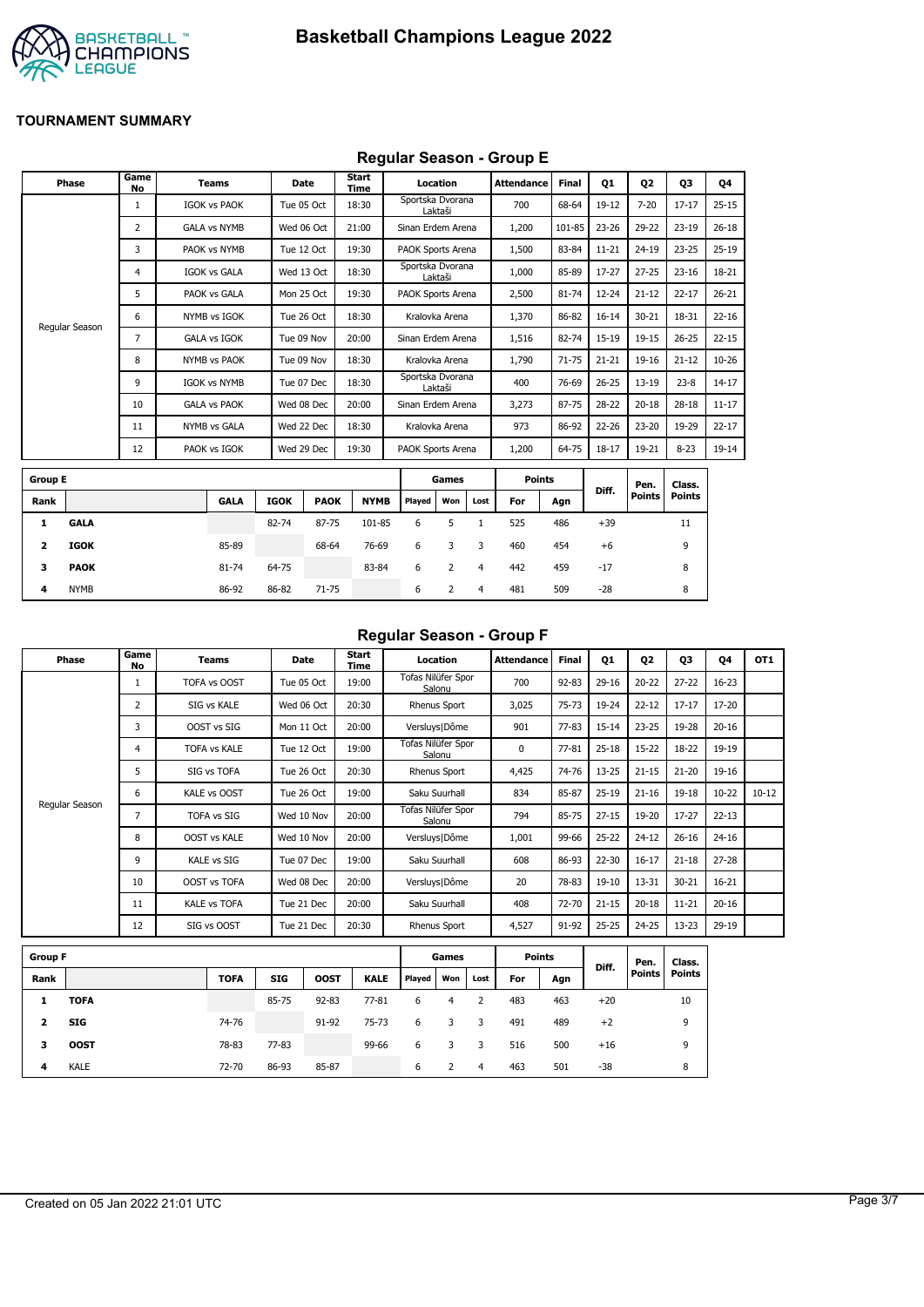

## **Regular Season - Group E**

|                         | Phase          | Game<br>No     | <b>Teams</b>        |             | Date        | Start<br>Time |             |                   | Location       |                | <b>Attendance</b> | Final     | <b>Q1</b> | 02        | 03            | Q4        |
|-------------------------|----------------|----------------|---------------------|-------------|-------------|---------------|-------------|-------------------|----------------|----------------|-------------------|-----------|-----------|-----------|---------------|-----------|
|                         |                | 1              | <b>IGOK vs PAOK</b> |             | Tue 05 Oct  | 18:30         |             | Sportska Dvorana  | Laktaši        |                | 700               | 68-64     | 19-12     | $7 - 20$  | $17 - 17$     | $25 - 15$ |
|                         |                | $\overline{2}$ | <b>GALA vs NYMB</b> |             | Wed 06 Oct  | 21:00         |             | Sinan Erdem Arena |                |                | 1,200             | 101-85    | 23-26     | 29-22     | $23-19$       | $26 - 18$ |
|                         |                | 3              | PAOK vs NYMB        |             | Tue 12 Oct  | 19:30         |             | PAOK Sports Arena |                |                | 1,500             | 83-84     | $11 - 21$ | $24 - 19$ | $23 - 25$     | $25-19$   |
|                         |                | 4              | <b>IGOK vs GALA</b> |             | Wed 13 Oct  | 18:30         |             | Sportska Dvorana  | Laktaši        |                | 1,000             | 85-89     | $17-27$   | $27 - 25$ | $23 - 16$     | 18-21     |
|                         |                | 5              | PAOK vs GALA        |             | Mon 25 Oct  | 19:30         |             | PAOK Sports Arena |                |                | 2,500             | 81-74     | $12 - 24$ | $21 - 12$ | $22 - 17$     | $26 - 21$ |
|                         | Regular Season | 6              | NYMB vs IGOK        |             | Tue 26 Oct  | 18:30         |             | Kralovka Arena    |                |                | 1,370             | 86-82     | $16 - 14$ | $30 - 21$ | 18-31         | $22 - 16$ |
|                         |                | $\overline{7}$ | <b>GALA vs IGOK</b> |             | Tue 09 Nov  | 20:00         |             | Sinan Erdem Arena |                |                | 1,516             | 82-74     | $15-19$   | $19 - 15$ | $26 - 25$     | $22 - 15$ |
|                         |                | 8              | NYMB vs PAOK        |             | Tue 09 Nov  | 18:30         |             | Kralovka Arena    |                |                | 1,790             | $71 - 75$ | $21 - 21$ | 19-16     | $21 - 12$     | $10 - 26$ |
|                         |                | 9              | <b>IGOK vs NYMB</b> |             | Tue 07 Dec  | 18:30         |             | Sportska Dvorana  | Laktaši        |                | 400               | 76-69     | $26 - 25$ | $13 - 19$ | $23 - 8$      | $14 - 17$ |
|                         |                | 10             | <b>GALA vs PAOK</b> |             | Wed 08 Dec  | 20:00         |             | Sinan Erdem Arena |                |                | 3,273             | 87-75     | 28-22     | $20 - 18$ | $28 - 18$     | $11 - 17$ |
|                         |                | 11             | <b>NYMB vs GALA</b> |             | Wed 22 Dec  | 18:30         |             |                   | Kralovka Arena |                | 973               | 86-92     | $22 - 26$ | $23 - 20$ | 19-29         | $22 - 17$ |
|                         |                | 12             | PAOK vs IGOK        |             | Wed 29 Dec  | 19:30         |             | PAOK Sports Arena |                |                | 1,200             | 64-75     | $18 - 17$ | 19-21     | $8 - 23$      | 19-14     |
| <b>Group E</b>          |                |                |                     |             |             |               |             |                   | Games          |                | <b>Points</b>     |           |           | Pen.      | Class.        |           |
| Rank                    |                |                | <b>GALA</b>         | <b>IGOK</b> | <b>PAOK</b> |               | <b>NYMB</b> | Played            | Won            | Lost           | For               | Agn       | Diff.     | Points    | <b>Points</b> |           |
| 1                       | <b>GALA</b>    |                |                     | 82-74       | 87-75       |               | 101-85      | 6                 | 5              | $\mathbf{1}$   | 525               | 486       | $+39$     |           | 11            |           |
| $\overline{\mathbf{z}}$ | <b>IGOK</b>    |                | 85-89               |             | 68-64       |               | 76-69       | 6                 | 3              | 3              | 460               | 454       | $+6$      |           | 9             |           |
| з                       | <b>PAOK</b>    |                | 81-74               | 64-75       |             |               | 83-84       | 6                 | 2              | $\overline{4}$ | 442               | 459       | $-17$     |           | 8             |           |
| 4                       | <b>NYMB</b>    |                | 86-92               | 86-82       | $71 - 75$   |               |             | 6                 | $\overline{2}$ | $\overline{4}$ | 481               | 509       | $-28$     |           | 8             |           |

### **Regular Season - Group F**

| Phase          | Game<br>No | Teams               | Date       | Start<br>Time | Location                     | Attendance | <b>Final</b> | 01        | 02        | 03        | 04        | OT <sub>1</sub> |
|----------------|------------|---------------------|------------|---------------|------------------------------|------------|--------------|-----------|-----------|-----------|-----------|-----------------|
|                |            | TOFA vs OOST        | Tue 05 Oct | 19:00         | Tofas Nilüfer Spor<br>Salonu | 700        | $92 - 83$    | $29-16$   | $20 - 22$ | $27 - 22$ | $16 - 23$ |                 |
|                | 2          | SIG vs KALE         | Wed 06 Oct | 20:30         | Rhenus Sport                 | 3,025      | $75 - 73$    | 19-24     | $22 - 12$ | $17 - 17$ | 17-20     |                 |
|                | 3          | OOST vs SIG         | Mon 11 Oct | 20:00         | Versluys   Dôme              | 901        | $77 - 83$    | $15 - 14$ | $23 - 25$ | 19-28     | $20 - 16$ |                 |
|                | 4          | <b>TOFA vs KALE</b> | Tue 12 Oct | 19:00         | Tofas Nilüfer Spor<br>Salonu | 0          | $77 - 81$    | $25 - 18$ | $15-22$   | 18-22     | 19-19     |                 |
|                | 5          | SIG vs TOFA         | Tue 26 Oct | 20:30         | Rhenus Sport                 | 4,425      | 74-76        | $13 - 25$ | $21 - 15$ | $21 - 20$ | 19-16     |                 |
|                | 6          | KALE vs OOST        | Tue 26 Oct | 19:00         | Saku Suurhall                | 834        | 85-87        | $25-19$   | $21 - 16$ | $19 - 18$ | $10 - 22$ | $10 - 12$       |
| Regular Season | 7          | <b>TOFA vs SIG</b>  | Wed 10 Nov | 20:00         | Tofas Nilüfer Spor<br>Salonu | 794        | 85-75        | $27 - 15$ | 19-20     | $17 - 27$ | $22 - 13$ |                 |
|                | 8          | <b>OOST vs KALE</b> | Wed 10 Nov | 20:00         | Versluys   Dôme              | 1,001      | 99-66        | $25 - 22$ | $24 - 12$ | $26 - 16$ | $24 - 16$ |                 |
|                | 9          | <b>KALE vs SIG</b>  | Tue 07 Dec | 19:00         | Saku Suurhall                | 608        | 86-93        | 22-30     | $16 - 17$ | $21 - 18$ | $27 - 28$ |                 |
|                | 10         | <b>OOST vs TOFA</b> | Wed 08 Dec | 20:00         | Versluys   Dôme              | 20         | 78-83        | 19-10     | 13-31     | $30 - 21$ | $16 - 21$ |                 |
|                | 11         | <b>KALE vs TOFA</b> | Tue 21 Dec | 20:00         | Saku Suurhall                | 408        | 72-70        | $21 - 15$ | $20 - 18$ | $11 - 21$ | $20 - 16$ |                 |
|                | 12         | SIG vs OOST         | Tue 21 Dec | 20:30         | Rhenus Sport                 | 4,527      | 91-92        | $25 - 25$ | 24-25     | $13 - 23$ | 29-19     |                 |

| <b>Group F</b> |             |             |            |             |             |        | Games |      | <b>Points</b> |     | Diff. | Pen.          | Class. |
|----------------|-------------|-------------|------------|-------------|-------------|--------|-------|------|---------------|-----|-------|---------------|--------|
| Rank           |             | <b>TOFA</b> | <b>SIG</b> | <b>OOST</b> | <b>KALE</b> | Played | Won   | Lost | For           | Agn |       | <b>Points</b> | Points |
| 1              | <b>TOFA</b> |             | 85-75      | $92 - 83$   | $77 - 81$   | 6      |       |      | 483           | 463 | $+20$ |               | 10     |
| 2              | SIG         | 74-76       |            | 91-92       | 75-73       | 6      | 3     | 3    | 491           | 489 | $+2$  |               | 9      |
| з              | <b>OOST</b> | 78-83       | 77-83      |             | 99-66       | 6      | 3     | 3    | 516           | 500 | $+16$ |               | 9      |
| 4              | <b>KALE</b> | 72-70       | 86-93      | 85-87       |             | 6      |       | 4    | 463           | 501 | -38   |               | 8      |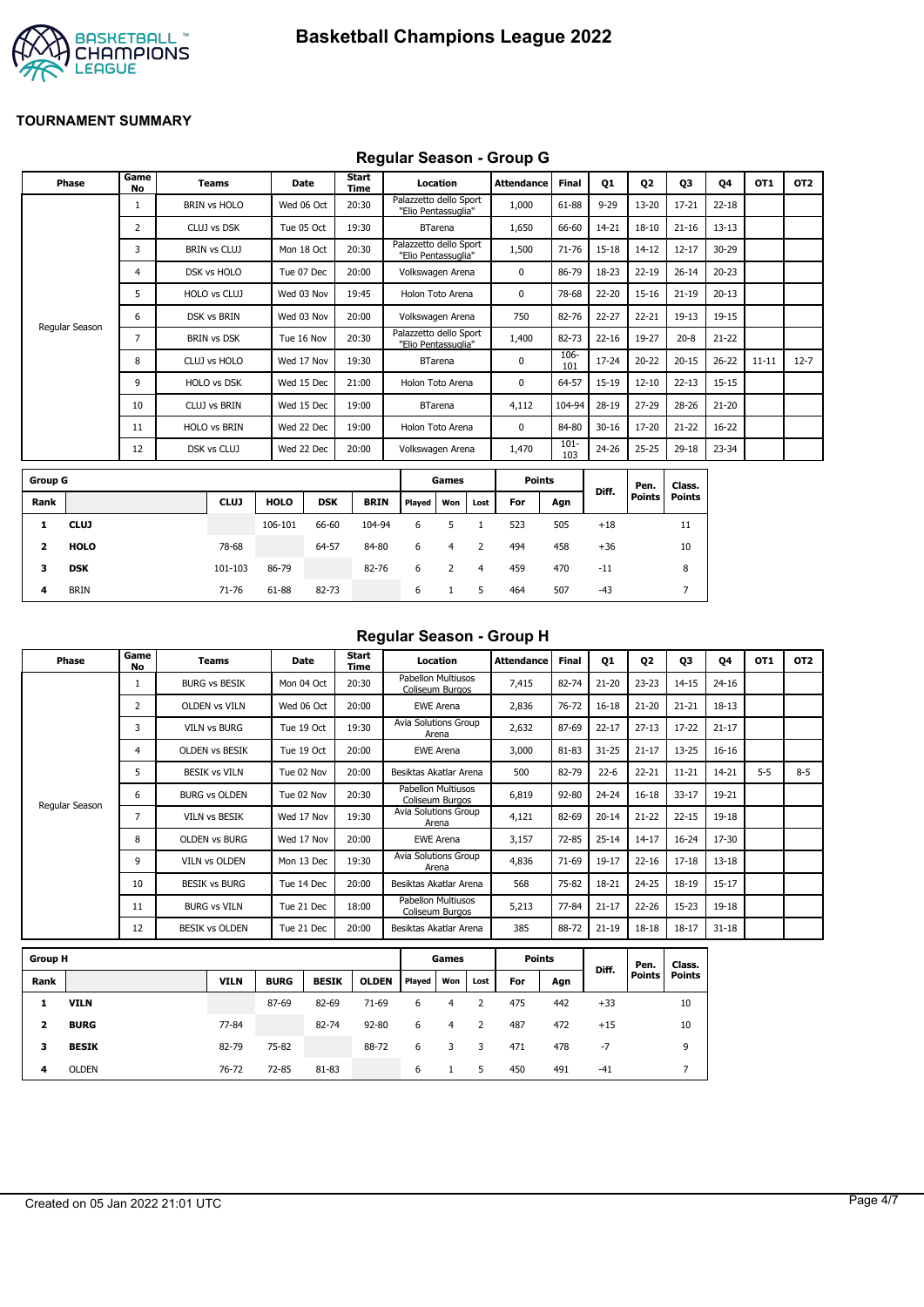

## **Regular Season - Group G**

|                | <b>Phase</b>   | Game<br>No | <b>Teams</b>        | <b>Date</b> |            | <b>Start</b><br>Time |                                               | Location       |      | <b>Attendance</b> | <b>Final</b>   | Q1        | Q <sub>2</sub> | Q3            | 04        | OT1       | OT <sub>2</sub> |
|----------------|----------------|------------|---------------------|-------------|------------|----------------------|-----------------------------------------------|----------------|------|-------------------|----------------|-----------|----------------|---------------|-----------|-----------|-----------------|
|                |                |            | <b>BRIN vs HOLO</b> | Wed 06 Oct  |            | 20:30                | Palazzetto dello Sport<br>"Elio Pentassuglia" |                |      | 1,000             | 61-88          | $9 - 29$  | $13 - 20$      | $17 - 21$     | $22 - 18$ |           |                 |
|                |                | 2          | CLUJ vs DSK         | Tue 05 Oct  |            | 19:30                |                                               | <b>BTarena</b> |      | 1,650             | 66-60          | 14-21     | $18 - 10$      | $21 - 16$     | $13 - 13$ |           |                 |
|                |                | 3          | <b>BRIN vs CLUJ</b> | Mon 18 Oct  |            | 20:30                | Palazzetto dello Sport<br>"Elio Pentassuglia" |                |      | 1,500             | 71-76          | 15-18     | $14 - 12$      | $12 - 17$     | 30-29     |           |                 |
|                |                | 4          | DSK vs HOLO         | Tue 07 Dec  |            | 20:00                | Volkswagen Arena                              |                |      | 0                 | 86-79          | 18-23     | $22 - 19$      | $26 - 14$     | $20 - 23$ |           |                 |
|                |                | 5          | HOLO vs CLUJ        | Wed 03 Nov  |            | 19:45                | Holon Toto Arena                              |                |      | 0                 | 78-68          | 22-20     | $15 - 16$      | $21 - 19$     | $20 - 13$ |           |                 |
|                |                | 6          | <b>DSK vs BRIN</b>  | Wed 03 Nov  |            | 20:00                | Volkswagen Arena                              |                |      | 750               | 82-76          | 22-27     | $22 - 21$      | $19 - 13$     | 19-15     |           |                 |
|                | Regular Season | 7          | <b>BRIN vs DSK</b>  | Tue 16 Nov  |            | 20:30                | Palazzetto dello Sport<br>"Elio Pentassuglia" |                |      | 1,400             | 82-73          | $22 - 16$ | 19-27          | $20 - 8$      | $21 - 22$ |           |                 |
|                |                | 8          | CLUJ vs HOLO        | Wed 17 Nov  |            | 19:30                |                                               | <b>BTarena</b> |      | $\mathbf 0$       | 106-<br>101    | 17-24     | $20 - 22$      | $20 - 15$     | $26 - 22$ | $11 - 11$ | $12 - 7$        |
|                |                | 9          | HOLO vs DSK         | Wed 15 Dec  |            | 21:00                | Holon Toto Arena                              |                |      | 0                 | 64-57          | 15-19     | $12 - 10$      | $22 - 13$     | $15 - 15$ |           |                 |
|                |                | 10         | <b>CLUJ vs BRIN</b> | Wed 15 Dec  |            | 19:00                |                                               | <b>BTarena</b> |      | 4,112             | 104-94         | 28-19     | $27 - 29$      | 28-26         | $21 - 20$ |           |                 |
|                |                | 11         | <b>HOLO vs BRIN</b> | Wed 22 Dec  |            | 19:00                | Holon Toto Arena                              |                |      | 0                 | 84-80          | $30 - 16$ | 17-20          | $21 - 22$     | 16-22     |           |                 |
|                |                | 12         | DSK vs CLUJ         | Wed 22 Dec  |            | 20:00                | Volkswagen Arena                              |                |      | 1,470             | $101 -$<br>103 | 24-26     | $25 - 25$      | 29-18         | 23-34     |           |                 |
| <b>Group G</b> |                |            |                     |             |            |                      |                                               | Games          |      | <b>Points</b>     |                |           | Pen.           | Class.        |           |           |                 |
| Rank           |                |            | <b>CLUJ</b>         | <b>HOLO</b> | <b>DSK</b> | <b>BRIN</b>          | Played                                        | Won            | Lost | For               | Agn            | Diff.     | <b>Points</b>  | <b>Points</b> |           |           |                 |
| 1              | <b>CLUJ</b>    |            |                     | 106-101     | 66-60      | 104-94               | 6                                             | 5              |      | 523               | 505            | $+18$     |                | 11            |           |           |                 |

| Regular Season - Group H |  |  |
|--------------------------|--|--|
|                          |  |  |

| Phase          | Game<br>No     | <b>Teams</b>          | Date       | Start<br>Time | Location                              | Attendance | <b>Final</b> | Q1        | Q <sub>2</sub> | Q3        | <b>Q4</b> | OT <sub>1</sub> | OT <sub>2</sub> |
|----------------|----------------|-----------------------|------------|---------------|---------------------------------------|------------|--------------|-----------|----------------|-----------|-----------|-----------------|-----------------|
|                |                | <b>BURG vs BESIK</b>  | Mon 04 Oct | 20:30         | Pabellon Multiusos<br>Coliseum Burgos | 7,415      | 82-74        | $21 - 20$ | $23 - 23$      | $14 - 15$ | $24 - 16$ |                 |                 |
|                | $\overline{2}$ | <b>OLDEN vs VILN</b>  | Wed 06 Oct | 20:00         | <b>EWE Arena</b>                      | 2,836      | 76-72        | $16 - 18$ | $21 - 20$      | $21 - 21$ | $18 - 13$ |                 |                 |
|                | 3              | <b>VILN vs BURG</b>   | Tue 19 Oct | 19:30         | Avia Solutions Group<br>Arena         | 2,632      | 87-69        | $22 - 17$ | $27 - 13$      | $17 - 22$ | $21 - 17$ |                 |                 |
|                | 4              | <b>OLDEN VS BESIK</b> | Tue 19 Oct | 20:00         | <b>EWE Arena</b>                      | 3,000      | 81-83        | $31 - 25$ | $21 - 17$      | $13 - 25$ | $16 - 16$ |                 |                 |
|                | 5.             | <b>BESIK vs VILN</b>  | Tue 02 Nov | 20:00         | Besiktas Akatlar Arena                | 500        | 82-79        | $22 - 6$  | $22 - 21$      | $11 - 21$ | 14-21     | $5 - 5$         | $8 - 5$         |
|                | 6              | <b>BURG vs OLDEN</b>  | Tue 02 Nov | 20:30         | Pabellon Multiusos<br>Coliseum Burgos | 6,819      | 92-80        | $24 - 24$ | $16 - 18$      | $33 - 17$ | 19-21     |                 |                 |
| Regular Season | 7              | <b>VILN vs BESIK</b>  | Wed 17 Nov | 19:30         | Avia Solutions Group<br>Arena         | 4,121      | 82-69        | $20 - 14$ | $21 - 22$      | $22 - 15$ | $19 - 18$ |                 |                 |
|                | 8              | <b>OLDEN vs BURG</b>  | Wed 17 Nov | 20:00         | <b>EWE Arena</b>                      | 3,157      | 72-85        | $25 - 14$ | $14 - 17$      | $16 - 24$ | 17-30     |                 |                 |
|                | 9              | <b>VILN vs OLDEN</b>  | Mon 13 Dec | 19:30         | <b>Avia Solutions Group</b><br>Arena  | 4,836      | 71-69        | 19-17     | $22 - 16$      | $17 - 18$ | $13 - 18$ |                 |                 |
|                | 10             | <b>BESIK vs BURG</b>  | Tue 14 Dec | 20:00         | Besiktas Akatlar Arena                | 568        | 75-82        | 18-21     | $24 - 25$      | 18-19     | $15 - 17$ |                 |                 |
|                | 11             | <b>BURG vs VILN</b>   | Tue 21 Dec | 18:00         | Pabellon Multiusos<br>Coliseum Burgos | 5,213      | 77-84        | $21 - 17$ | $22 - 26$      | $15 - 23$ | $19 - 18$ |                 |                 |
|                | 12             | <b>BESIK vs OLDEN</b> | Tue 21 Dec | 20:00         | Besiktas Akatlar Arena                | 385        | 88-72        | $21 - 19$ | $18 - 18$      | $18 - 17$ | $31 - 18$ |                 |                 |

| <b>Group H</b> |              |             |             |              |              | Games  |     |      | <b>Points</b> |     |       | Pen.   | Class. |
|----------------|--------------|-------------|-------------|--------------|--------------|--------|-----|------|---------------|-----|-------|--------|--------|
| Rank           |              | <b>VILN</b> | <b>BURG</b> | <b>BESIK</b> | <b>OLDEN</b> | Played | Won | Lost | For           | Agn | Diff. | Points | Points |
|                | <b>VILN</b>  |             | 87-69       | 82-69        | 71-69        | 6      | 4   | 2    | 475           | 442 | $+33$ |        | 10     |
| 2              | <b>BURG</b>  | 77-84       |             | 82-74        | $92 - 80$    | 6      | 4   | 2    | 487           | 472 | $+15$ |        | 10     |
| 3              | <b>BESIK</b> | 82-79       | 75-82       |              | 88-72        | 6      | 3.  | 3    | 471           | 478 | -7    |        | 9      |
| 4              | <b>OLDEN</b> | 76-72       | 72-85       | 81-83        |              | 6      |     | 5    | 450           | 491 | $-41$ |        |        |

**2 HOLO** 78-68 64-57 84-80 6 4 2 494 458 +36 10 **3 DSK** 101-103 86-79 82-76 6 2 4 459 470 -11 8 **4** BRIN 71-76 61-88 82-73 6 1 5 464 507 -43 7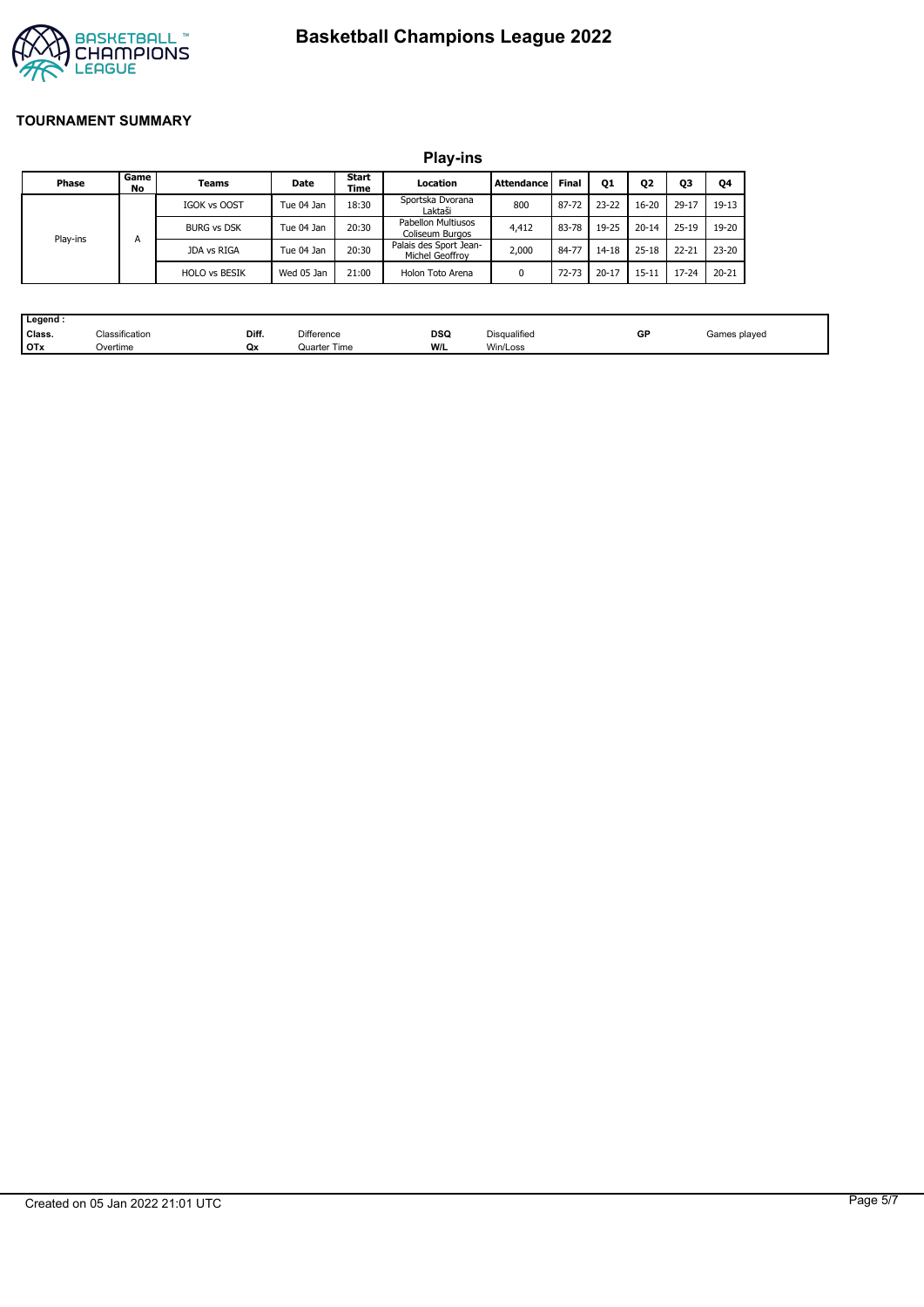# **Basketball Champions League 2022**



#### **TOURNAMENT SUMMARY**

|          |            |                      |            |               | <b>Play-ins</b>                           |                   |              |           |                |           |           |
|----------|------------|----------------------|------------|---------------|-------------------------------------------|-------------------|--------------|-----------|----------------|-----------|-----------|
| Phase    | Game<br>No | Teams                | Date       | Start<br>Time | Location                                  | <b>Attendance</b> | <b>Final</b> | Q1        | Q <sub>2</sub> | Q3        | Q4        |
|          |            | IGOK vs OOST         | Tue 04 Jan | 18:30         | Sportska Dvorana<br>Laktaši               | 800               | 87-72        | $23 - 22$ | $16 - 20$      | 29-17     | $19-13$   |
|          | А          | <b>BURG vs DSK</b>   | Tue 04 Jan | 20:30         | Pabellon Multiusos<br>Coliseum Burgos     | 4,412             | 83-78        | 19-25     | $20 - 14$      | $25 - 19$ | 19-20     |
| Play-ins |            | JDA vs RIGA          | Tue 04 Jan | 20:30         | Palais des Sport Jean-<br>Michel Geoffrov | 2,000             | 84-77        | 14-18     | $25 - 18$      | $22 - 21$ | $23 - 20$ |
|          |            | <b>HOLO vs BESIK</b> | Wed 05 Jan | 21:00         | Holon Toto Arena                          | 0                 | $72 - 73$    | $20 - 17$ | $15 - 11$      | $17 - 24$ | $20 - 21$ |

| . Legend · |                |       |              |     |              |    |              |
|------------|----------------|-------|--------------|-----|--------------|----|--------------|
| Class.     | Classification | Diff. | Difference   | DSQ | Disqualified | GP | Games played |
| <b>OTx</b> | Overtime       | Qx    | Quarter Time | W/L | Win/Loss     |    |              |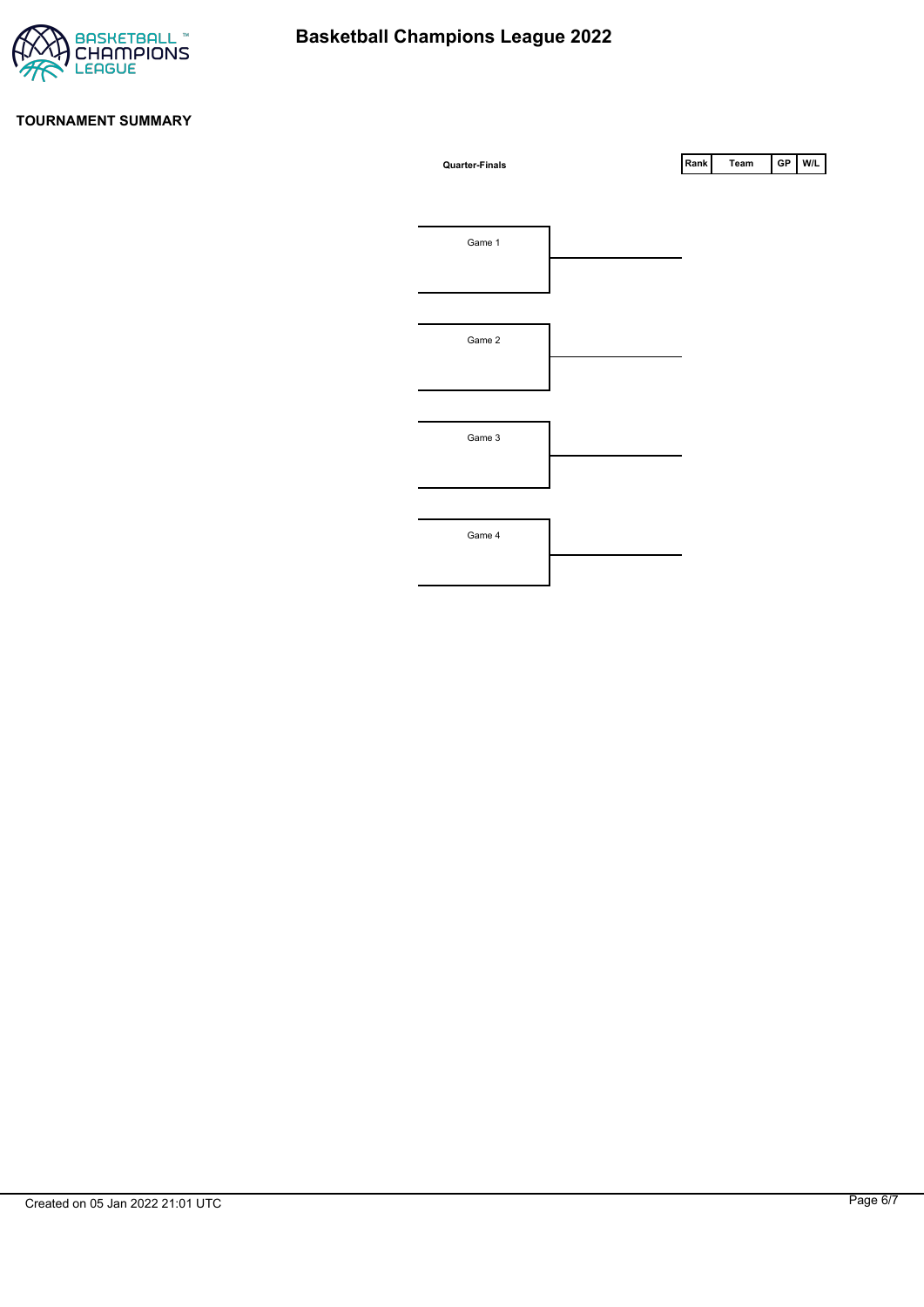